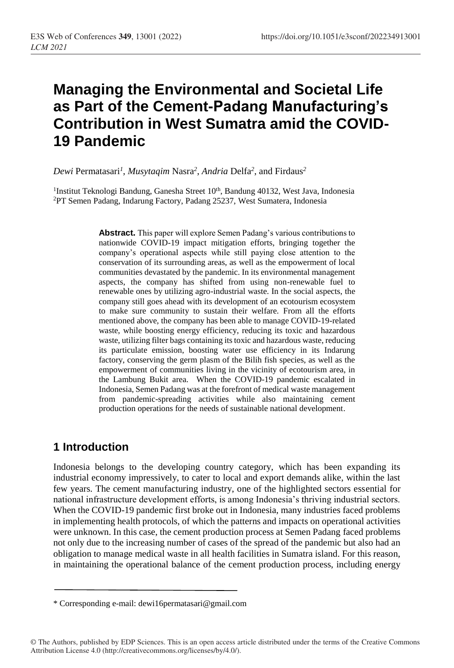# **Managing the Environmental and Societal Life as Part of the Cement-Padang Manufacturing's Contribution in West Sumatra amid the COVID-19 Pandemic**

*Dewi* Permatasari*<sup>1</sup>* , *Musytaqim* Nasra*<sup>2</sup>* , *Andria* Delfa*<sup>2</sup>* , and Firdaus*<sup>2</sup>*

<sup>1</sup>Institut Teknologi Bandung, Ganesha Street 10<sup>th</sup>, Bandung 40132, West Java, Indonesia <sup>2</sup>PT Semen Padang, Indarung Factory, Padang 25237, West Sumatera, Indonesia

> **Abstract.** This paper will explore Semen Padang's various contributions to nationwide COVID-19 impact mitigation efforts, bringing together the company's operational aspects while still paying close attention to the conservation of its surrounding areas, as well as the empowerment of local communities devastated by the pandemic. In its environmental management aspects, the company has shifted from using non-renewable fuel to renewable ones by utilizing agro-industrial waste. In the social aspects, the company still goes ahead with its development of an ecotourism ecosystem to make sure community to sustain their welfare. From all the efforts mentioned above, the company has been able to manage COVID-19-related waste, while boosting energy efficiency, reducing its toxic and hazardous waste, utilizing filter bags containing its toxic and hazardous waste, reducing its particulate emission, boosting water use efficiency in its Indarung factory, conserving the germ plasm of the Bilih fish species, as well as the empowerment of communities living in the vicinity of ecotourism area, in the Lambung Bukit area. When the COVID-19 pandemic escalated in Indonesia, Semen Padang was at the forefront of medical waste management from pandemic-spreading activities while also maintaining cement production operations for the needs of sustainable national development.

## **1 Introduction**

Indonesia belongs to the developing country category, which has been expanding its industrial economy impressively, to cater to local and export demands alike, within the last few years. The cement manufacturing industry, one of the highlighted sectors essential for national infrastructure development efforts, is among Indonesia's thriving industrial sectors. When the COVID-19 pandemic first broke out in Indonesia, many industries faced problems in implementing health protocols, of which the patterns and impacts on operational activities were unknown. In this case, the cement production process at Semen Padang faced problems not only due to the increasing number of cases of the spread of the pandemic but also had an obligation to manage medical waste in all health facilities in Sumatra island. For this reason, in maintaining the operational balance of the cement production process, including energy

<sup>\*</sup> Corresponding e-mail: dewi16permatasari@gmail.com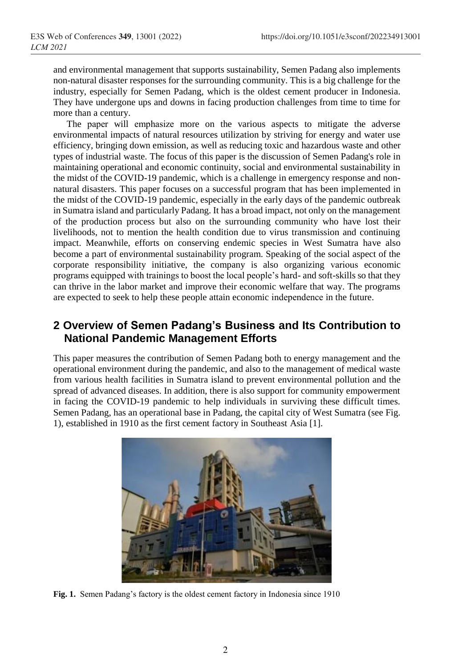and environmental management that supports sustainability, Semen Padang also implements non-natural disaster responses for the surrounding community. This is a big challenge for the industry, especially for Semen Padang, which is the oldest cement producer in Indonesia. They have undergone ups and downs in facing production challenges from time to time for more than a century.

The paper will emphasize more on the various aspects to mitigate the adverse environmental impacts of natural resources utilization by striving for energy and water use efficiency, bringing down emission, as well as reducing toxic and hazardous waste and other types of industrial waste. The focus of this paper is the discussion of Semen Padang's role in maintaining operational and economic continuity, social and environmental sustainability in the midst of the COVID-19 pandemic, which is a challenge in emergency response and nonnatural disasters. This paper focuses on a successful program that has been implemented in the midst of the COVID-19 pandemic, especially in the early days of the pandemic outbreak in Sumatra island and particularly Padang. It has a broad impact, not only on the management of the production process but also on the surrounding community who have lost their livelihoods, not to mention the health condition due to virus transmission and continuing impact. Meanwhile, efforts on conserving endemic species in West Sumatra have also become a part of environmental sustainability program. Speaking of the social aspect of the corporate responsibility initiative, the company is also organizing various economic programs equipped with trainings to boost the local people's hard- and soft-skills so that they can thrive in the labor market and improve their economic welfare that way. The programs are expected to seek to help these people attain economic independence in the future.

#### **2 Overview of Semen Padang's Business and Its Contribution to National Pandemic Management Efforts**

This paper measures the contribution of Semen Padang both to energy management and the operational environment during the pandemic, and also to the management of medical waste from various health facilities in Sumatra island to prevent environmental pollution and the spread of advanced diseases. In addition, there is also support for community empowerment in facing the COVID-19 pandemic to help individuals in surviving these difficult times. Semen Padang, has an operational base in Padang, the capital city of West Sumatra (see Fig. 1), established in 1910 as the first cement factory in Southeast Asia [1].



**Fig. 1.** Semen Padang's factory is the oldest cement factory in Indonesia since 1910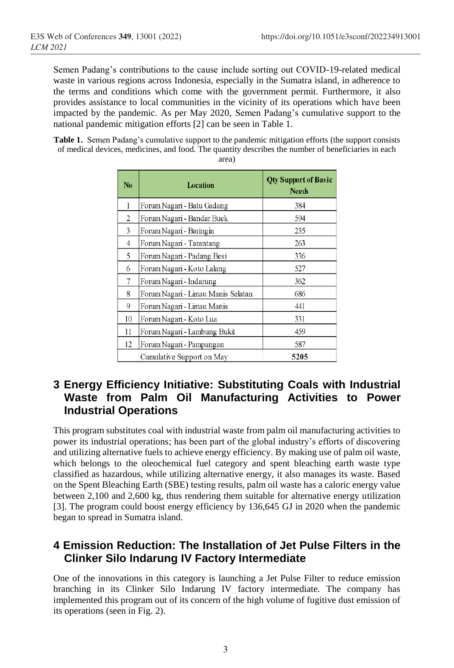Semen Padang's contributions to the cause include sorting out COVID-19-related medical waste in various regions across Indonesia, especially in the Sumatra island, in adherence to the terms and conditions which come with the government permit. Furthermore, it also provides assistance to local communities in the vicinity of its operations which have been impacted by the pandemic. As per May 2020, Semen Padang's cumulative support to the national pandemic mitigation efforts [2] can be seen in Table 1.

**Table 1.** Semen Padang's cumulative support to the pandemic mitigation efforts (the support consists of medical devices, medicines, and food. The quantity describes the number of beneficiaries in each area)

| N <sub>0</sub> | Location                           | <b>Qty Support of Basic</b><br><b>Needs</b> |
|----------------|------------------------------------|---------------------------------------------|
| 1              | Forum Nagari - Batu Gadang         | 384                                         |
| 2              | Forum Nagari - Bandar Buek         | 594                                         |
| 3              | Forum Nagari - Baringin            | 235                                         |
| 4              | Forum Nagari - Tarantang           | 263                                         |
| 5              | Forum Nagari - Padang Besi         | 336                                         |
| 6              | Forum Nagari - Koto Lalang         | 527                                         |
| 7              | Forum Nagari - Indarung            | 362                                         |
| 8              | Forum Nagari - Limau Manis Selatan | 686                                         |
| 9              | Forum Nagari - Limau Manis         | 441                                         |
| 10             | Forum Nagari - Koto Lua            | 331                                         |
| 11             | Forum Nagari - Lambung Bukit       | 459                                         |
| 12             | Forum Nagari - Pampangan           | 587                                         |
|                | Cumulative Support on May          | 5205                                        |

# **3 Energy Efficiency Initiative: Substituting Coals with Industrial Waste from Palm Oil Manufacturing Activities to Power Industrial Operations**

This program substitutes coal with industrial waste from palm oil manufacturing activities to power its industrial operations; has been part of the global industry's efforts of discovering and utilizing alternative fuels to achieve energy efficiency. By making use of palm oil waste, which belongs to the oleochemical fuel category and spent bleaching earth waste type classified as hazardous, while utilizing alternative energy, it also manages its waste. Based on the Spent Bleaching Earth (SBE) testing results, palm oil waste has a caloric energy value between 2,100 and 2,600 kg, thus rendering them suitable for alternative energy utilization [3]. The program could boost energy efficiency by 136,645 GJ in 2020 when the pandemic began to spread in Sumatra island.

## **4 Emission Reduction: The Installation of Jet Pulse Filters in the Clinker Silo Indarung IV Factory Intermediate**

One of the innovations in this category is launching a Jet Pulse Filter to reduce emission branching in its Clinker Silo Indarung IV factory intermediate. The company has implemented this program out of its concern of the high volume of fugitive dust emission of its operations (seen in Fig. 2).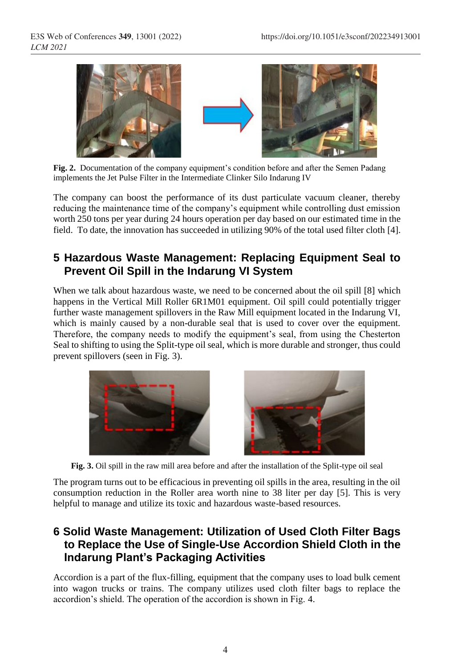

Fig. 2. Documentation of the company equipment's condition before and after the Semen Padang implements the Jet Pulse Filter in the Intermediate Clinker Silo Indarung IV

The company can boost the performance of its dust particulate vacuum cleaner, thereby reducing the maintenance time of the company's equipment while controlling dust emission worth 250 tons per year during 24 hours operation per day based on our estimated time in the field. To date, the innovation has succeeded in utilizing 90% of the total used filter cloth [4].

## **5 Hazardous Waste Management: Replacing Equipment Seal to Prevent Oil Spill in the Indarung VI System**

When we talk about hazardous waste, we need to be concerned about the oil spill [8] which happens in the Vertical Mill Roller 6R1M01 equipment. Oil spill could potentially trigger further waste management spillovers in the Raw Mill equipment located in the Indarung VI, which is mainly caused by a non-durable seal that is used to cover over the equipment. Therefore, the company needs to modify the equipment's seal, from using the Chesterton Seal to shifting to using the Split-type oil seal, which is more durable and stronger, thus could prevent spillovers (seen in Fig. 3).





**Fig. 3.** Oil spill in the raw mill area before and after the installation of the Split-type oil seal

The program turns out to be efficacious in preventing oil spills in the area, resulting in the oil consumption reduction in the Roller area worth nine to 38 liter per day [5]. This is very helpful to manage and utilize its toxic and hazardous waste-based resources.

#### **6 Solid Waste Management: Utilization of Used Cloth Filter Bags to Replace the Use of Single-Use Accordion Shield Cloth in the Indarung Plant's Packaging Activities**

Accordion is a part of the flux-filling, equipment that the company uses to load bulk cement into wagon trucks or trains. The company utilizes used cloth filter bags to replace the accordion's shield. The operation of the accordion is shown in Fig. 4.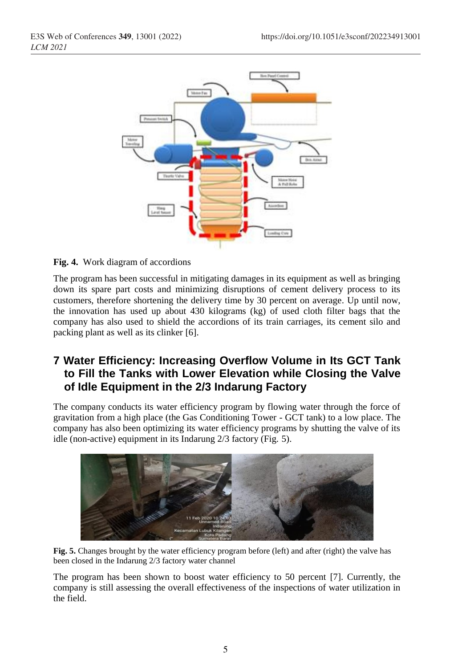

**Fig. 4.** Work diagram of accordions

The program has been successful in mitigating damages in its equipment as well as bringing down its spare part costs and minimizing disruptions of cement delivery process to its customers, therefore shortening the delivery time by 30 percent on average. Up until now, the innovation has used up about 430 kilograms (kg) of used cloth filter bags that the company has also used to shield the accordions of its train carriages, its cement silo and packing plant as well as its clinker [6].

## **7 Water Efficiency: Increasing Overflow Volume in Its GCT Tank to Fill the Tanks with Lower Elevation while Closing the Valve of Idle Equipment in the 2/3 Indarung Factory**

The company conducts its water efficiency program by flowing water through the force of gravitation from a high place (the Gas Conditioning Tower - GCT tank) to a low place. The company has also been optimizing its water efficiency programs by shutting the valve of its idle (non-active) equipment in its Indarung 2/3 factory (Fig. 5).



**Fig. 5.** Changes brought by the water efficiency program before (left) and after (right) the valve has been closed in the Indarung 2/3 factory water channel

The program has been shown to boost water efficiency to 50 percent [7]. Currently, the company is still assessing the overall effectiveness of the inspections of water utilization in the field.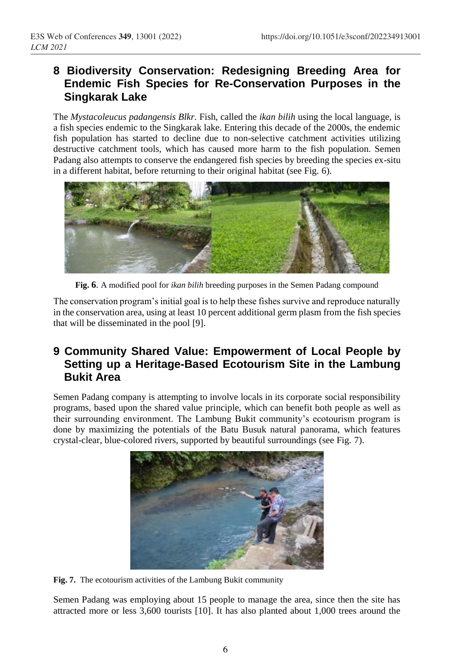### **8 Biodiversity Conservation: Redesigning Breeding Area for Endemic Fish Species for Re-Conservation Purposes in the Singkarak Lake**

The *Mystacoleucus padangensis Blkr.* Fish, called the *ikan bilih* using the local language, is a fish species endemic to the Singkarak lake. Entering this decade of the 2000s, the endemic fish population has started to decline due to non-selective catchment activities utilizing destructive catchment tools, which has caused more harm to the fish population. Semen Padang also attempts to conserve the endangered fish species by breeding the species ex-situ in a different habitat, before returning to their original habitat (see Fig. 6).



**Fig. 6**. A modified pool for *ikan bilih* breeding purposes in the Semen Padang compound

The conservation program's initial goal is to help these fishes survive and reproduce naturally in the conservation area, using at least 10 percent additional germ plasm from the fish species that will be disseminated in the pool [9].

# **9 Community Shared Value: Empowerment of Local People by Setting up a Heritage-Based Ecotourism Site in the Lambung Bukit Area**

Semen Padang company is attempting to involve locals in its corporate social responsibility programs, based upon the shared value principle, which can benefit both people as well as their surrounding environment. The Lambung Bukit community's ecotourism program is done by maximizing the potentials of the Batu Busuk natural panorama, which features crystal-clear, blue-colored rivers, supported by beautiful surroundings (see Fig. 7).



**Fig. 7.** The ecotourism activities of the Lambung Bukit community

Semen Padang was employing about 15 people to manage the area, since then the site has attracted more or less 3,600 tourists [10]. It has also planted about 1,000 trees around the